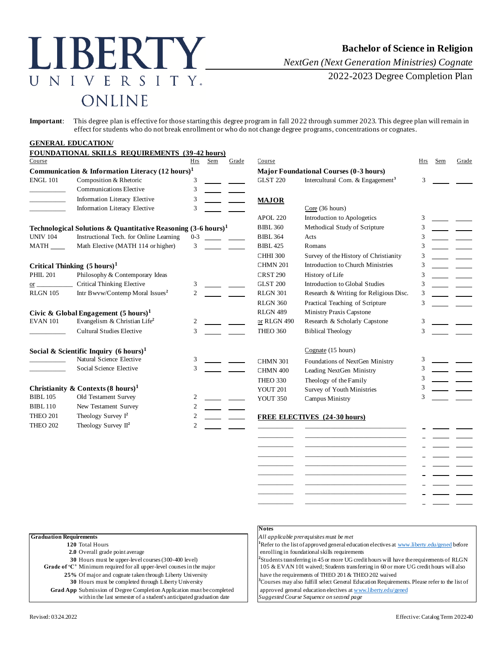# LIBERTY UNIVERSITY. ONLINE

*NextGen (Next Generation Ministries) Cognate*

2022-2023 Degree Completion Plan

**Important**: This degree plan is effective for those starting this degree program in fall 2022 through summer 2023. This degree plan will remain in effect for students who do not break enrollment or who do not change degree programs, concentrations or cognates.

## **GENERAL EDUCATION/**

|                                               | FOUNDATIONAL SKILLS REQUIREMENTS (39-42 hours)                           |                   |                 |                                     |                                               |     |     |       |
|-----------------------------------------------|--------------------------------------------------------------------------|-------------------|-----------------|-------------------------------------|-----------------------------------------------|-----|-----|-------|
| Course                                        |                                                                          | <b>Sem</b><br>Hrs | Grade           | Course                              |                                               | Hrs | Sem | Grade |
|                                               | Communication & Information Literacy $(12 \text{ hours})^1$              |                   |                 |                                     | <b>Major Foundational Courses (0-3 hours)</b> |     |     |       |
| <b>ENGL 101</b>                               | Composition & Rhetoric                                                   | 3                 |                 | <b>GLST 220</b>                     | Intercultural Com. & Engagement <sup>3</sup>  | 3   |     |       |
|                                               | <b>Communications Elective</b>                                           | 3                 |                 |                                     |                                               |     |     |       |
|                                               | Information Literacy Elective                                            | 3                 |                 | <b>MAJOR</b>                        |                                               |     |     |       |
|                                               | Information Literacy Elective                                            | 3                 |                 |                                     | $Core$ (36 hours)                             |     |     |       |
|                                               |                                                                          |                   |                 | <b>APOL 220</b>                     | Introduction to Apologetics                   | 3   |     |       |
|                                               | Technological Solutions & Quantitative Reasoning $(3-6 \text{ hours})^1$ |                   |                 | <b>BIBL 360</b>                     | Methodical Study of Scripture                 | 3   |     |       |
| <b>UNIV 104</b>                               | Instructional Tech. for Online Learning                                  | $0 - 3$           |                 | <b>BIBL 364</b>                     | Acts                                          | 3   |     |       |
| MATH                                          | Math Elective (MATH 114 or higher)                                       | 3                 |                 | <b>BIBL 425</b>                     | Romans                                        | 3   |     |       |
|                                               |                                                                          |                   |                 | <b>CHHI 300</b>                     | Survey of the History of Christianity         |     |     |       |
| Critical Thinking $(5 \text{ hours})^1$       |                                                                          |                   | <b>CHMN 201</b> | Introduction to Church Ministries   | 3                                             |     |     |       |
| <b>PHIL 201</b>                               | Philosophy & Contemporary Ideas                                          |                   |                 | <b>CRST 290</b>                     | History of Life                               | 3   |     |       |
| $\frac{or}{ }$                                | <b>Critical Thinking Elective</b>                                        | 3                 |                 | <b>GLST 200</b>                     | Introduction to Global Studies                | 3   |     |       |
| <b>RLGN 105</b>                               | Intr Bwvw/Contemp Moral Issues <sup>2</sup>                              | $\overline{2}$    |                 | <b>RLGN 301</b>                     | Research & Writing for Religious Disc.        | 3   |     |       |
|                                               |                                                                          |                   |                 | <b>RLGN 360</b>                     | Practical Teaching of Scripture               | 3   |     |       |
|                                               | Civic & Global Engagement $(5 \text{ hours})^1$                          |                   |                 | <b>RLGN 489</b>                     | Ministry Praxis Capstone                      |     |     |       |
| <b>EVAN 101</b>                               | Evangelism & Christian Life <sup>2</sup>                                 | 2                 |                 | or RLGN 490                         | Research & Scholarly Capstone                 | 3   |     |       |
|                                               | <b>Cultural Studies Elective</b>                                         | $\mathcal{R}$     |                 | <b>THEO 360</b>                     | <b>Biblical Theology</b>                      |     |     |       |
|                                               | Social & Scientific Inquiry $(6 \text{ hours})^1$                        |                   |                 |                                     | Cognate (15 hours)                            |     |     |       |
|                                               | Natural Science Elective                                                 | 3                 |                 | <b>CHMN 301</b>                     | Foundations of NextGen Ministry               |     |     |       |
|                                               | Social Science Elective                                                  | 3                 |                 | CHMN 400                            | Leading NextGen Ministry                      | 3   |     |       |
|                                               |                                                                          |                   |                 | <b>THEO 330</b>                     | Theology of the Family                        | 3   |     |       |
| Christianity & Contexts $(8 \text{ hours})^1$ |                                                                          |                   | YOUT 201        | Survey of Youth Ministries          |                                               |     |     |       |
| <b>BIBL 105</b>                               | Old Testament Survey                                                     | 2                 |                 | <b>YOUT 350</b>                     | Campus Ministry                               |     |     |       |
| <b>BIBL110</b>                                | New Testament Survey                                                     | $\overline{c}$    |                 |                                     |                                               |     |     |       |
| <b>THEO 201</b>                               | Theology Survey $I^2$                                                    | 2                 |                 | <b>FREE ELECTIVES</b> (24-30 hours) |                                               |     |     |       |
| <b>THEO 202</b>                               | Theology Survey $II^2$                                                   | 2                 |                 |                                     |                                               |     |     |       |
|                                               |                                                                          |                   |                 |                                     |                                               |     |     |       |
|                                               |                                                                          |                   |                 |                                     |                                               |     |     |       |

| <b>Graduation Requirements</b>                                                |  |
|-------------------------------------------------------------------------------|--|
| 120 Total Hours                                                               |  |
| 2.0 Overall grade point average                                               |  |
| 30 Hours must be upper-level courses (300-400 level)                          |  |
| Grade of 'C' Minimum required for all upper-level courses in the major        |  |
| 25% Of major and cognate taken through Liberty University                     |  |
| 30 Hours must be completed through Liberty University                         |  |
| <b>Grad App</b> Submission of Degree Completion Application must be completed |  |
| within the last semester of a student's anticipated graduation date           |  |

## **Notes**

**Graduation Requirements** *All applicable prerequisites must be met*

\_\_\_\_\_\_\_\_\_\_\_ \_\_\_\_\_\_\_\_\_\_\_\_\_\_\_\_\_\_\_\_\_\_\_\_\_\_\_\_\_\_\_ \_\_\_\_\_\_\_\_\_\_\_ \_\_\_\_\_\_\_\_\_\_\_\_\_\_\_\_\_\_\_\_\_\_\_\_\_\_\_\_\_\_\_ \_\_\_\_\_\_\_\_\_\_\_ \_\_\_\_\_\_\_\_\_\_\_\_\_\_\_\_\_\_\_\_\_\_\_\_\_\_\_\_\_\_\_ \_\_\_\_\_\_\_\_\_\_\_ \_\_\_\_\_\_\_\_\_\_\_\_\_\_\_\_\_\_\_\_\_\_\_\_\_\_\_\_\_\_\_ \_\_\_\_\_\_\_\_\_\_\_ \_\_\_\_\_\_\_\_\_\_\_\_\_\_\_\_\_\_\_\_\_\_\_\_\_\_\_\_\_\_\_ \_\_\_\_\_\_\_\_\_\_\_ \_\_\_\_\_\_\_\_\_\_\_\_\_\_\_\_\_\_\_\_\_\_\_\_\_\_\_\_\_\_\_

<sup>1</sup>Refer to the list of approved general education electives [at www.liberty.edu/gened](http://www.liberty.edu/gened) before enrolling in foundational skills requirements

 ${}^{2}$ Students transferring in 45 or more UG credit hours will have the requirements of RLGN 105 & EVAN 101 waived; Students transferring in 60 or more UG credit hours will also

have the requirements of THEO 201 & THEO 202 waived <sup>3</sup>Courses may also fulfill select General Education Requirements. Please refer to the list of approved general education electives [at www.liberty.edu/gened](http://www.liberty.edu/gened)

within the last semester of a student's anticipated graduation date *Suggested Course Sequence on second page*